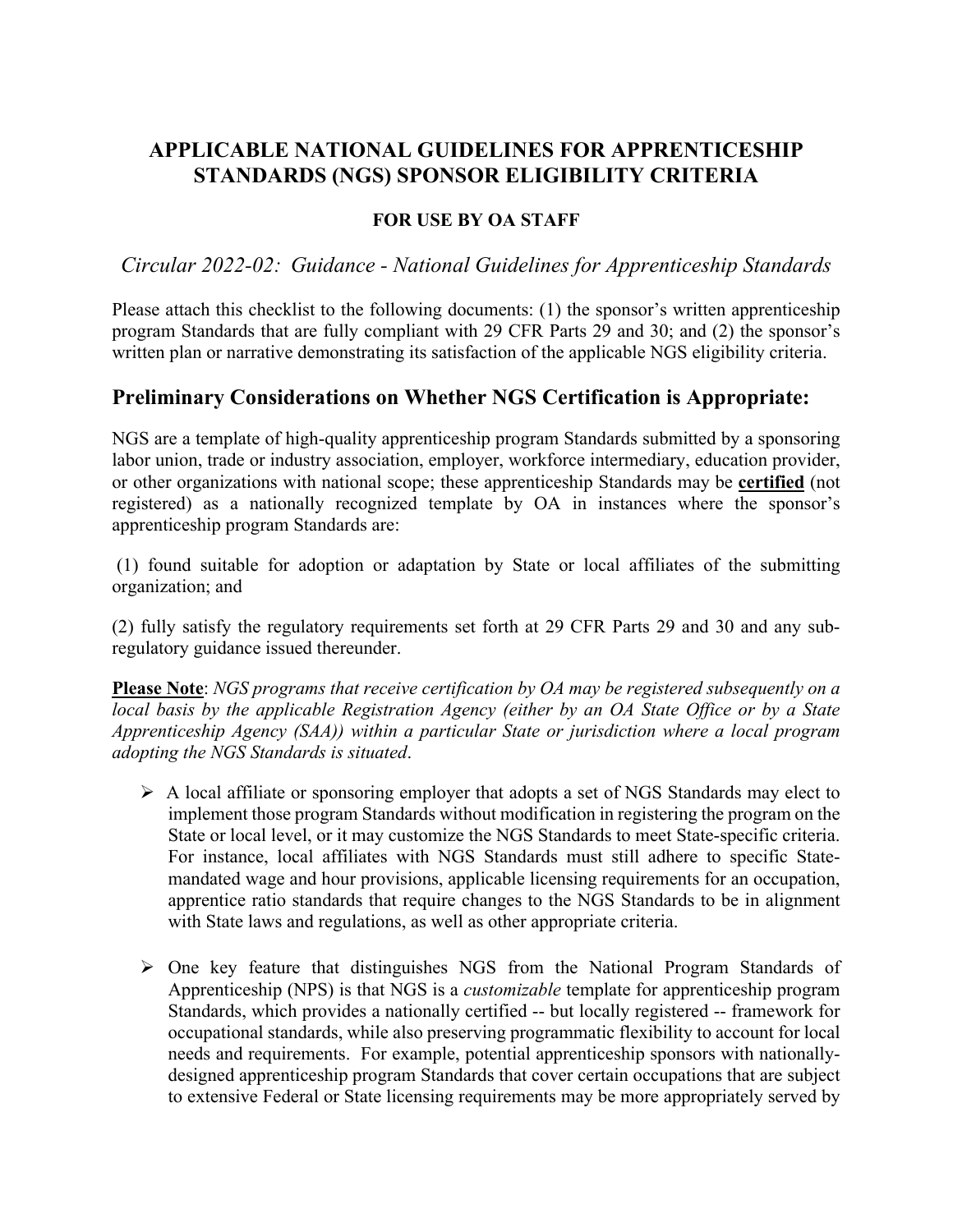# **APPLICABLE NATIONAL GUIDELINES FOR APPRENTICESHIP STANDARDS (NGS) SPONSOR ELIGIBILITY CRITERIA**

#### **FOR USE BY OA STAFF**

*Circular 2022-02: Guidance - National Guidelines for Apprenticeship Standards*

Please attach this checklist to the following documents: (1) the sponsor's written apprenticeship program Standards that are fully compliant with 29 CFR Parts 29 and 30; and (2) the sponsor's written plan or narrative demonstrating its satisfaction of the applicable NGS eligibility criteria.

#### **Preliminary Considerations on Whether NGS Certification is Appropriate:**

NGS are a template of high-quality apprenticeship program Standards submitted by a sponsoring labor union, trade or industry association, employer, workforce intermediary, education provider, or other organizations with national scope; these apprenticeship Standards may be **certified** (not registered) as a nationally recognized template by OA in instances where the sponsor's apprenticeship program Standards are:

(1) found suitable for adoption or adaptation by State or local affiliates of the submitting organization; and

(2) fully satisfy the regulatory requirements set forth at 29 CFR Parts 29 and 30 and any subregulatory guidance issued thereunder.

**Please Note**: *NGS programs that receive certification by OA may be registered subsequently on a local basis by the applicable Registration Agency (either by an OA State Office or by a State Apprenticeship Agency (SAA)) within a particular State or jurisdiction where a local program adopting the NGS Standards is situated*.

- $\triangleright$  A local affiliate or sponsoring employer that adopts a set of NGS Standards may elect to implement those program Standards without modification in registering the program on the State or local level, or it may customize the NGS Standards to meet State-specific criteria. For instance, local affiliates with NGS Standards must still adhere to specific Statemandated wage and hour provisions, applicable licensing requirements for an occupation, apprentice ratio standards that require changes to the NGS Standards to be in alignment with State laws and regulations, as well as other appropriate criteria.
- $\triangleright$  One key feature that distinguishes NGS from the National Program Standards of Apprenticeship (NPS) is that NGS is a *customizable* template for apprenticeship program Standards, which provides a nationally certified -- but locally registered -- framework for occupational standards, while also preserving programmatic flexibility to account for local needs and requirements. For example, potential apprenticeship sponsors with nationallydesigned apprenticeship program Standards that cover certain occupations that are subject to extensive Federal or State licensing requirements may be more appropriately served by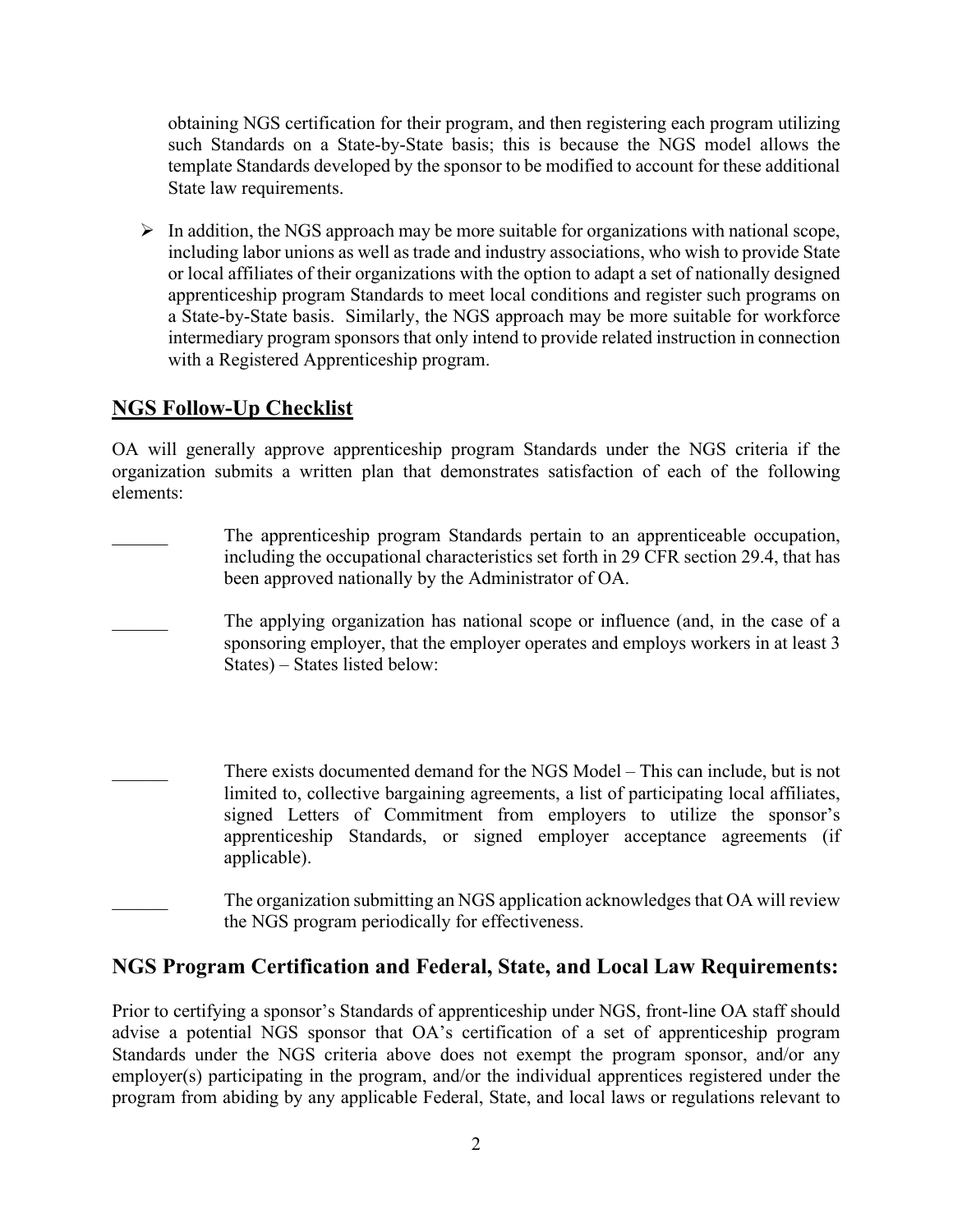obtaining NGS certification for their program, and then registering each program utilizing such Standards on a State-by-State basis; this is because the NGS model allows the template Standards developed by the sponsor to be modified to account for these additional State law requirements.

 $\triangleright$  In addition, the NGS approach may be more suitable for organizations with national scope, including labor unions as well as trade and industry associations, who wish to provide State or local affiliates of their organizations with the option to adapt a set of nationally designed apprenticeship program Standards to meet local conditions and register such programs on a State-by-State basis. Similarly, the NGS approach may be more suitable for workforce intermediary program sponsors that only intend to provide related instruction in connection with a Registered Apprenticeship program.

# **NGS Follow-Up Checklist**

OA will generally approve apprenticeship program Standards under the NGS criteria if the organization submits a written plan that demonstrates satisfaction of each of the following elements:

- The apprenticeship program Standards pertain to an apprenticeable occupation, including the occupational characteristics set forth in 29 CFR section 29.4, that has been approved nationally by the Administrator of OA.
- The applying organization has national scope or influence (and, in the case of a sponsoring employer, that the employer operates and employs workers in at least 3 States) – States listed below:
- There exists documented demand for the NGS Model This can include, but is not limited to, collective bargaining agreements, a list of participating local affiliates, signed Letters of Commitment from employers to utilize the sponsor's apprenticeship Standards, or signed employer acceptance agreements (if applicable).
- The organization submitting an NGS application acknowledges that OA will review the NGS program periodically for effectiveness.

### **NGS Program Certification and Federal, State, and Local Law Requirements:**

Prior to certifying a sponsor's Standards of apprenticeship under NGS, front-line OA staff should advise a potential NGS sponsor that OA's certification of a set of apprenticeship program Standards under the NGS criteria above does not exempt the program sponsor, and/or any employer(s) participating in the program, and/or the individual apprentices registered under the program from abiding by any applicable Federal, State, and local laws or regulations relevant to